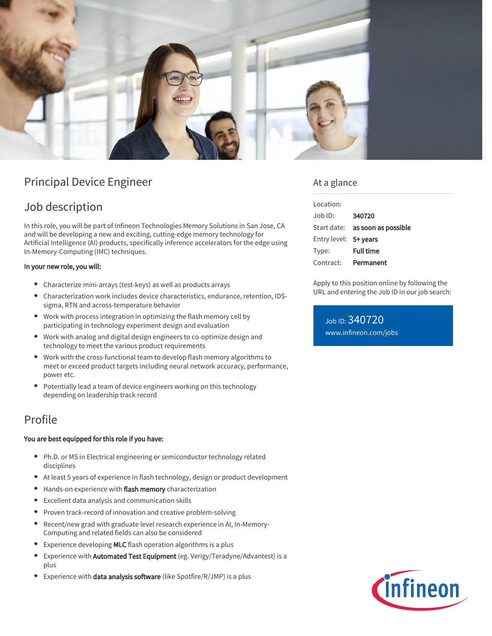

# Principal Device Engineer

# Job description

In this role, you will be part of Infineon Technologies Memory Solutions in San Jose, CA and will be developing a new and exciting, cutting-edge memory technology for Artificial Intelligence (AI) products, specifically inference accelerators for the edge using In-Memory-Computing (IMC) techniques.

### In your new role, you will:

- Characterize mini-arrays (test-keys) as well as products arrays
- Characterization work includes device characteristics, endurance, retention, IDSsigma, RTN and across-temperature behavior
- Work with process integration in optimizing the flash memory cell by participating in technology experiment design and evaluation
- Work with analog and digital design engineers to co-optimize design and technology to meet the various product requirements
- Work with the cross-functional team to develop flash memory algorithms to meet or exceed product targets including neural network accuracy, performance, power etc.
- Potentially lead a team of device engineers working on this technology depending on leadership track record

# Profile

### You are best equipped for this role if you have:

- Ph.D. or MS in Electrical engineering or semiconductor technology related disciplines
- At least 5 years of experience in flash technology, design or product development
- Hands-on experience with flash memory characterization
- Excellent data analysis and communication skills
- Proven track-record of innovation and creative problem-solving
- $\bullet$ Recent/new grad with graduate level research experience in AI, In-Memory-Computing and related fields can also be considered
- Experience developing MLC flash operation algorithms is a plus  $\bullet$
- $\bullet$ Experience with Automated Test Equipment (eg. Verigy/Teradyne/Advantest) is a plus
- Experience with data analysis software (like Spotfire/R/JMP) is a plus

## At a glance

| Location:             |                                        |
|-----------------------|----------------------------------------|
| $Joh$ ID:             | 340720                                 |
|                       | Start date: <b>as soon as possible</b> |
| Entry level: 5+ years |                                        |
| Type:                 | <b>Full time</b>                       |
| Contract:             | Permanent                              |

Apply to this position online by following the URL and entering the Job ID in our job search:

Job ID: 340720 [www.infineon.com/jobs](https://www.infineon.com/jobs)